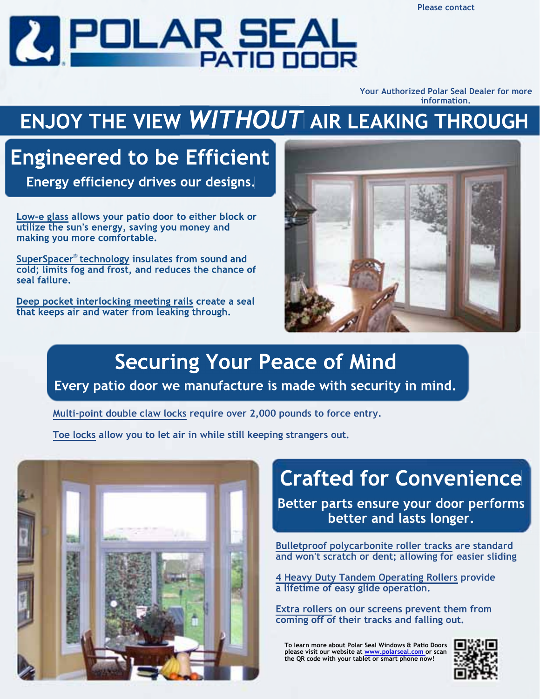**Please contact**



**Your Authorized Polar Seal Dealer for more information.**

# **ENJOY THE VIEW** *WITHOUT* **AIR LEAKING THROUGH**

### **Engineered to be Efficient**

**Energy efficiency drives our designs.**

**Low-e glass allows your patio door to either block or utilize the sun's energy, saving you money and making you more comfortable.**

SuperSpacer<sup>®</sup> technology insulates from sound and **cold; limits fog and frost, and reduces the chance of seal failure.**

**Deep pocket interlocking meeting rails create a seal that keeps air and water from leaking through.**



#### **Securing Your Peace of Mind Every patio door we manufacture is made with security in mind.**

**Multi-point double claw locks require over 2,000 pounds to force entry.**

**Toe locks allow you to let air in while still keeping strangers out.** 



## **Crafted for Convenience**

**Better parts ensure your door performs better and lasts longer.**

**Bulletproof polycarbonite roller tracks are standard and won't scratch or dent; allowing for easier sliding**

**4 Heavy Duty Tandem Operating Rollers provide a lifetime of easy glide operation.**

**Extra rollers on our screens prevent them from coming off of their tracks and falling out.** 

**To learn more about Polar Seal Windows & Patio Doors please visit our website at www.polarseal.com or scan the QR code with your tablet or smart phone now!**